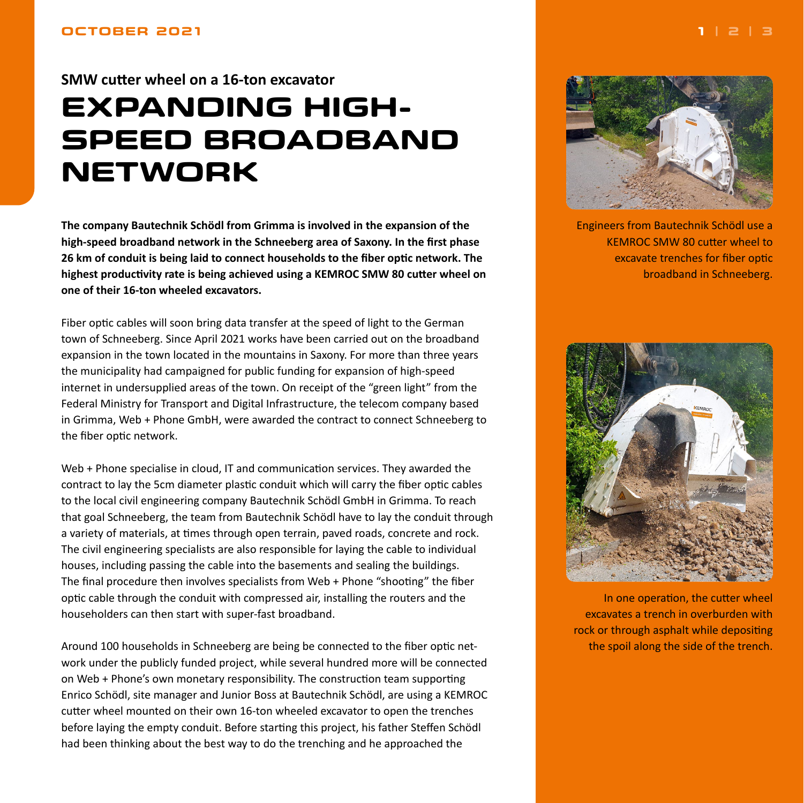## <span id="page-0-0"></span>**SMW cutter wheel on a 16-ton excavator**

# **EXPANDING HIGH-SPEED BROADBAND NETWORK**

**The company Bautechnik Schödl from Grimma is involved in the expansion of the high-speed broadband network in the Schneeberg area of Saxony. In the first phase 26 km of conduit is being laid to connect households to the fiber optic network. The highest productivity rate is being achieved using a KEMROC SMW 80 cutter wheel on one of their 16-ton wheeled excavators.**

Fiber optic cables will soon bring data transfer at the speed of light to the German town of Schneeberg. Since April 2021 works have been carried out on the broadband expansion in the town located in the mountains in Saxony. For more than three years the municipality had campaigned for public funding for expansion of high-speed internet in undersupplied areas of the town. On receipt of the "green light" from the Federal Ministry for Transport and Digital Infrastructure, the telecom company based in Grimma, Web + Phone GmbH, were awarded the contract to connect Schneeberg to the fiber optic network.

Web + Phone specialise in cloud, IT and communication services. They awarded the contract to lay the 5cm diameter plastic conduit which will carry the fiber optic cables to the local civil engineering company Bautechnik Schödl GmbH in Grimma. To reach that goal Schneeberg, the team from Bautechnik Schödl have to lay the conduit through a variety of materials, at times through open terrain, paved roads, concrete and rock. The civil engineering specialists are also responsible for laying the cable to individual houses, including passing the cable into the basements and sealing the buildings. The final procedure then involves specialists from Web + Phone "shooting" the fiber optic cable through the conduit with compressed air, installing the routers and the householders can then start with super-fast broadband.

Around 100 households in Schneeberg are being be connected to the fiber optic network under the publicly funded project, while several hundred more will be connected on Web + Phone's own monetary responsibility. The construction team supporting Enrico Schödl, site manager and Junior Boss at Bautechnik Schödl, are using a KEMROC cutter wheel mounted on their own 16-ton wheeled excavator to open the trenches before laying the empty conduit. Before starting this project, his father Steffen Schödl had been thinking about the best way to do the trenching and he approached the



Engineers from Bautechnik Schödl use a KEMROC SMW 80 cutter wheel to excavate trenches for fiber optic broadband in Schneeberg.



In one operation, the cutter wheel excavates a trench in overburden with rock or through asphalt while depositing the spoil along the side of the trench.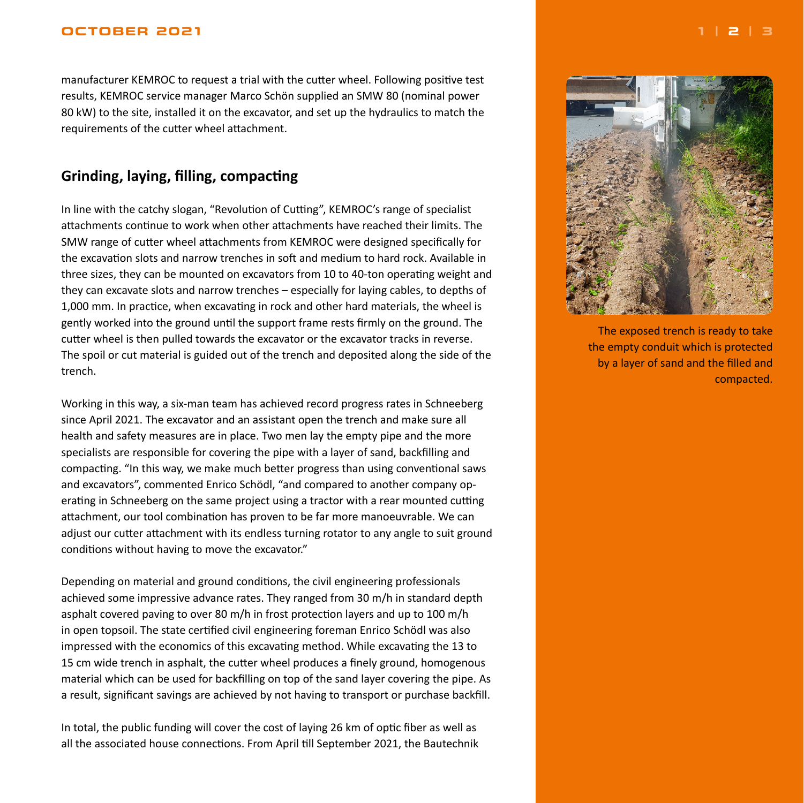#### <span id="page-1-0"></span>**OCTOBER 2021 [1](#page-0-0) | 2 | [3](#page-2-0)**

manufacturer KEMROC to request a trial with the cutter wheel. Following positive test results, KEMROC service manager Marco Schön supplied an SMW 80 (nominal power 80 kW) to the site, installed it on the excavator, and set up the hydraulics to match the requirements of the cutter wheel attachment.

### **Grinding, laying, filling, compacting**

In line with the catchy slogan, "Revolution of Cutting", KEMROC's range of specialist attachments continue to work when other attachments have reached their limits. The SMW range of cutter wheel attachments from KEMROC were designed specifically for the excavation slots and narrow trenches in soft and medium to hard rock. Available in three sizes, they can be mounted on excavators from 10 to 40-ton operating weight and they can excavate slots and narrow trenches – especially for laying cables, to depths of 1,000 mm. In practice, when excavating in rock and other hard materials, the wheel is gently worked into the ground until the support frame rests firmly on the ground. The cutter wheel is then pulled towards the excavator or the excavator tracks in reverse. The spoil or cut material is guided out of the trench and deposited along the side of the trench.

Working in this way, a six-man team has achieved record progress rates in Schneeberg since April 2021. The excavator and an assistant open the trench and make sure all health and safety measures are in place. Two men lay the empty pipe and the more specialists are responsible for covering the pipe with a layer of sand, backfilling and compacting. "In this way, we make much better progress than using conventional saws and excavators", commented Enrico Schödl, "and compared to another company operating in Schneeberg on the same project using a tractor with a rear mounted cutting attachment, our tool combination has proven to be far more manoeuvrable. We can adjust our cutter attachment with its endless turning rotator to any angle to suit ground conditions without having to move the excavator."

Depending on material and ground conditions, the civil engineering professionals achieved some impressive advance rates. They ranged from 30 m/h in standard depth asphalt covered paving to over 80 m/h in frost protection layers and up to 100 m/h in open topsoil. The state certified civil engineering foreman Enrico Schödl was also impressed with the economics of this excavating method. While excavating the 13 to 15 cm wide trench in asphalt, the cutter wheel produces a finely ground, homogenous material which can be used for backfilling on top of the sand layer covering the pipe. As a result, significant savings are achieved by not having to transport or purchase backfill.

In total, the public funding will cover the cost of laying 26 km of optic fiber as well as all the associated house connections. From April till September 2021, the Bautechnik



The exposed trench is ready to take the empty conduit which is protected by a layer of sand and the filled and compacted.